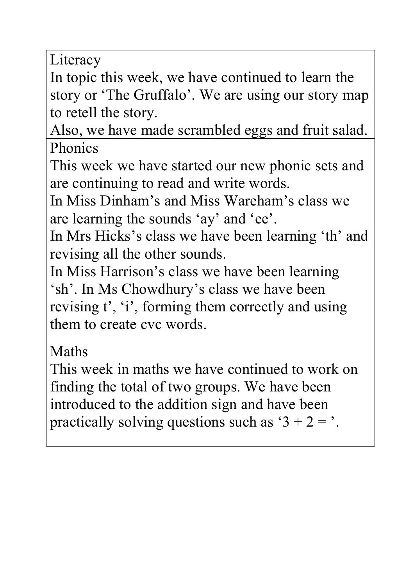Literacy

In topic this week, we have continued to learn the story or 'The Gruffalo'. We are using our story map to retell the story.

Also, we have made scrambled eggs and fruit salad. Phonics

This week we have started our new phonic sets and are continuing to read and write words.

In Miss Dinham's and Miss Wareham's class we are learning the sounds 'ay' and 'ee'.

In Mrs Hicks's class we have been learning 'th' and revising all the other sounds.

In Miss Harrison's class we have been learning 'sh'. In Ms Chowdhury's class we have been revising t', 'i', forming them correctly and using them to create cvc words.

Maths

This week in maths we have continued to work on finding the total of two groups. We have been introduced to the addition sign and have been practically solving questions such as ' $3 + 2 =$ '.